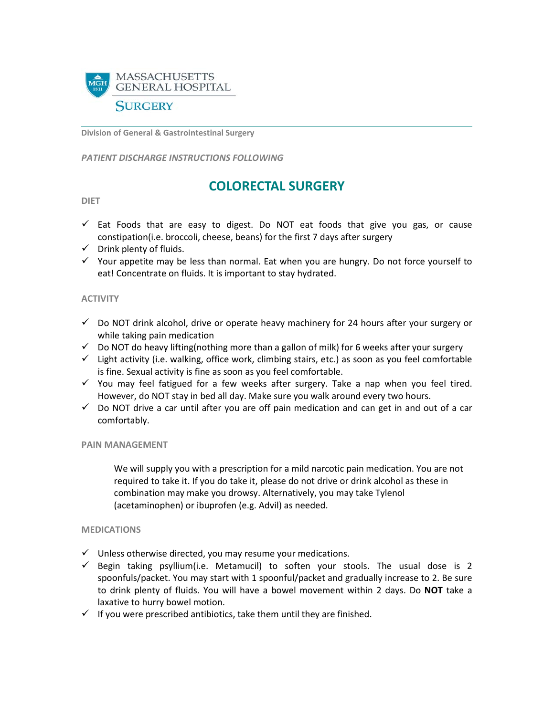

**Division of General & Gastrointestinal Surgery**

*PATIENT DISCHARGE INSTRUCTIONS FOLLOWING* 

# **COLORECTAL SURGERY**

#### **DIET**

- $\checkmark$  Eat Foods that are easy to digest. Do NOT eat foods that give you gas, or cause constipation(i.e. broccoli, cheese, beans) for the first 7 days after surgery
- $\checkmark$  Drink plenty of fluids.
- $\checkmark$  Your appetite may be less than normal. Eat when you are hungry. Do not force yourself to eat! Concentrate on fluids. It is important to stay hydrated.

# **ACTIVITY**

- $\checkmark$  Do NOT drink alcohol, drive or operate heavy machinery for 24 hours after your surgery or while taking pain medication
- $\checkmark$  Do NOT do heavy lifting(nothing more than a gallon of milk) for 6 weeks after your surgery
- $\checkmark$  Light activity (i.e. walking, office work, climbing stairs, etc.) as soon as you feel comfortable is fine. Sexual activity is fine as soon as you feel comfortable.
- $\checkmark$  You may feel fatigued for a few weeks after surgery. Take a nap when you feel tired. However, do NOT stay in bed all day. Make sure you walk around every two hours.
- $\checkmark$  Do NOT drive a car until after you are off pain medication and can get in and out of a car comfortably.

## **PAIN MANAGEMENT**

We will supply you with a prescription for a mild narcotic pain medication. You are not required to take it. If you do take it, please do not drive or drink alcohol as these in combination may make you drowsy. Alternatively, you may take Tylenol (acetaminophen) or ibuprofen (e.g. Advil) as needed.

## **MEDICATIONS**

- $\checkmark$  Unless otherwise directed, you may resume your medications.
- $\checkmark$  Begin taking psyllium(i.e. Metamucil) to soften your stools. The usual dose is 2 spoonfuls/packet. You may start with 1 spoonful/packet and gradually increase to 2. Be sure to drink plenty of fluids. You will have a bowel movement within 2 days. Do **NOT** take a laxative to hurry bowel motion.
- $\checkmark$  If you were prescribed antibiotics, take them until they are finished.